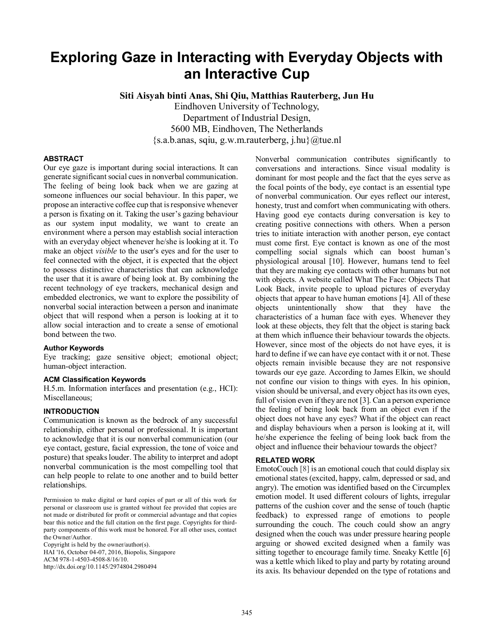# **Exploring Gaze in Interacting with Everyday Objects with an Interactive Cup**

**Siti Aisyah binti Anas, Shi Qiu, Matthias Rauterberg, Jun Hu**

Eindhoven University of Technology, Department of Industrial Design, 5600 MB, Eindhoven, The Netherlands  $\{s.a.b.anas, sqiu, g.w.m.rauterberg, j.hu\}$  (*a*tue.nl

#### **ABSTRACT**

Our eye gaze is important during social interactions. It can generate significant social cues in nonverbal communication. The feeling of being look back when we are gazing at someone influences our social behaviour. In this paper, we propose an interactive coffee cup that is responsive whenever a person is fixating on it. Taking the user's gazing behaviour as our system input modality, we want to create an environment where a person may establish social interaction with an everyday object whenever he/she is looking at it. To make an object *visible* to the user's eyes and for the user to feel connected with the object, it is expected that the object to possess distinctive characteristics that can acknowledge the user that it is aware of being look at. By combining the recent technology of eye trackers, mechanical design and embedded electronics, we want to explore the possibility of nonverbal social interaction between a person and inanimate object that will respond when a person is looking at it to allow social interaction and to create a sense of emotional bond between the two.

#### **Author Keywords**

Eye tracking; gaze sensitive object; emotional object; human-object interaction.

#### **ACM Classification Keywords**

H.5.m. Information interfaces and presentation (e.g., HCI): Miscellaneous;

## **INTRODUCTION**

Communication is known as the bedrock of any successful relationship, either personal or professional. It is important to acknowledge that it is our nonverbal communication (our eye contact, gesture, facial expression, the tone of voice and posture) that speaks louder. The ability to interpret and adopt nonverbal communication is the most compelling tool that can help people to relate to one another and to build better relationships.

Permission to make digital or hard copies of part or all of this work for personal or classroom use is granted without fee provided that copies are not made or distributed for profit or commercial advantage and that copies bear this notice and the full citation on the first page. Copyrights for thirdparty components of this work must be honored. For all other uses, contact the Owner/Author.

Copyright is held by the owner/author(s).

HAI '16, October 04-07, 2016, Biopolis, Singapore ACM 978-1-4503-4508-8/16/10. http://dx.doi.org/10.1145/2974804.2980494

Nonverbal communication contributes significantly to conversations and interactions. Since visual modality is dominant for most people and the fact that the eyes serve as the focal points of the body, eye contact is an essential type of nonverbal communication. Our eyes reflect our interest, honesty, trust and comfort when communicating with others. Having good eye contacts during conversation is key to creating positive connections with others. When a person tries to initiate interaction with another person, eye contact must come first. Eye contact is known as one of the most compelling social signals which can boost human's physiological arousal [10]. However, humans tend to feel that they are making eye contacts with other humans but not with objects. A website called What The Face: Objects That Look Back, invite people to upload pictures of everyday objects that appear to have human emotions [4]. All of these objects unintentionally show that they have the characteristics of a human face with eyes. Whenever they look at these objects, they felt that the object is staring back at them which influence their behaviour towards the objects. However, since most of the objects do not have eyes, it is hard to define if we can have eye contact with it or not. These objects remain invisible because they are not responsive towards our eye gaze. According to James Elkin, we should not confine our vision to things with eyes. In his opinion, vision should be universal, and every object has its own eyes, full of vision even if they are not [3]. Can a person experience the feeling of being look back from an object even if the object does not have any eyes? What if the object can react and display behaviours when a person is looking at it, will he/she experience the feeling of being look back from the object and influence their behaviour towards the object?

#### **RELATED WORK**

EmotoCouch [8] is an emotional couch that could display six emotional states (excited, happy, calm, depressed or sad, and angry). The emotion was identified based on the Circumplex emotion model. It used different colours of lights, irregular patterns of the cushion cover and the sense of touch (haptic feedback) to expressed range of emotions to people surrounding the couch. The couch could show an angry designed when the couch was under pressure hearing people arguing or showed excited designed when a family was sitting together to encourage family time. Sneaky Kettle [6] was a kettle which liked to play and party by rotating around its axis. Its behaviour depended on the type of rotations and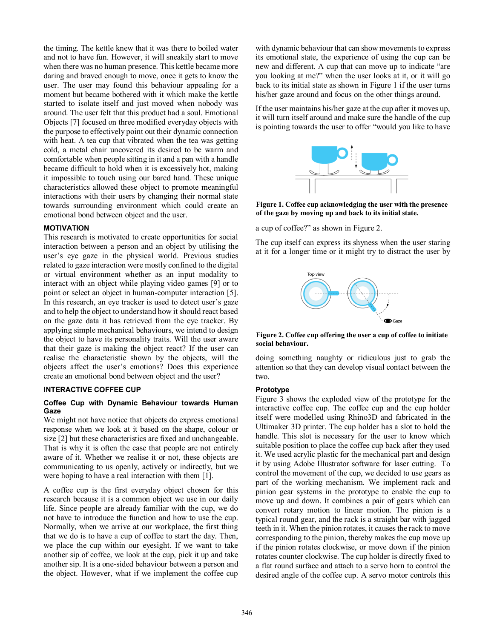the timing. The kettle knew that it was there to boiled water and not to have fun. However, it will sneakily start to move when there was no human presence. This kettle became more daring and braved enough to move, once it gets to know the user. The user may found this behaviour appealing for a moment but became bothered with it which make the kettle started to isolate itself and just moved when nobody was around. The user felt that this product had a soul. Emotional Objects [7] focused on three modified everyday objects with the purpose to effectively point out their dynamic connection with heat. A tea cup that vibrated when the tea was getting cold, a metal chair uncovered its desired to be warm and comfortable when people sitting in it and a pan with a handle became difficult to hold when it is excessively hot, making it impossible to touch using our bared hand. These unique characteristics allowed these object to promote meaningful interactions with their users by changing their normal state towards surrounding environment which could create an emotional bond between object and the user.

#### **MOTIVATION**

This research is motivated to create opportunities for social interaction between a person and an object by utilising the user's eye gaze in the physical world. Previous studies related to gaze interaction were mostly confined to the digital or virtual environment whether as an input modality to interact with an object while playing video games [9] or to point or select an object in human-computer interaction [5]. In this research, an eye tracker is used to detect user's gaze and to help the object to understand how it should react based on the gaze data it has retrieved from the eye tracker. By applying simple mechanical behaviours, we intend to design the object to have its personality traits. Will the user aware that their gaze is making the object react? If the user can realise the characteristic shown by the objects, will the objects affect the user's emotions? Does this experience create an emotional bond between object and the user?

## **INTERACTIVE COFFEE CUP**

#### **Coffee Cup with Dynamic Behaviour towards Human Gaze**

We might not have notice that objects do express emotional response when we look at it based on the shape, colour or size [2] but these characteristics are fixed and unchangeable. That is why it is often the case that people are not entirely aware of it. Whether we realise it or not, these objects are communicating to us openly, actively or indirectly, but we were hoping to have a real interaction with them [1].

A coffee cup is the first everyday object chosen for this research because it is a common object we use in our daily life. Since people are already familiar with the cup, we do not have to introduce the function and how to use the cup. Normally, when we arrive at our workplace, the first thing that we do is to have a cup of coffee to start the day. Then, we place the cup within our eyesight. If we want to take another sip of coffee, we look at the cup, pick it up and take another sip. It is a one-sided behaviour between a person and the object. However, what if we implement the coffee cup with dynamic behaviour that can show movements to express its emotional state, the experience of using the cup can be new and different. A cup that can move up to indicate "are you looking at me?" when the user looks at it, or it will go back to its initial state as shown in Figure 1 if the user turns his/her gaze around and focus on the other things around.

If the user maintains his/her gaze at the cup after it moves up, it will turn itself around and make sure the handle of the cup is pointing towards the user to offer "would you like to have



**Figure 1. Coffee cup acknowledging the user with the presence of the gaze by moving up and back to its initial state.**

a cup of coffee?" as shown in Figure 2.

The cup itself can express its shyness when the user staring at it for a longer time or it might try to distract the user by



**Figure 2. Coffee cup offering the user a cup of coffee to initiate social behaviour.**

doing something naughty or ridiculous just to grab the attention so that they can develop visual contact between the two.

#### **Prototype**

Figure 3 shows the exploded view of the prototype for the interactive coffee cup. The coffee cup and the cup holder itself were modelled using Rhino3D and fabricated in the Ultimaker 3D printer. The cup holder has a slot to hold the handle. This slot is necessary for the user to know which suitable position to place the coffee cup back after they used it. We used acrylic plastic for the mechanical part and design it by using Adobe Illustrator software for laser cutting. To control the movement of the cup, we decided to use gears as part of the working mechanism. We implement rack and pinion gear systems in the prototype to enable the cup to move up and down. It combines a pair of gears which can convert rotary motion to linear motion. The pinion is a typical round gear, and the rack is a straight bar with jagged teeth in it. When the pinion rotates, it causes the rack to move corresponding to the pinion, thereby makes the cup move up if the pinion rotates clockwise, or move down if the pinion rotates counter clockwise. The cup holder is directly fixed to a flat round surface and attach to a servo horn to control the desired angle of the coffee cup. A servo motor controls this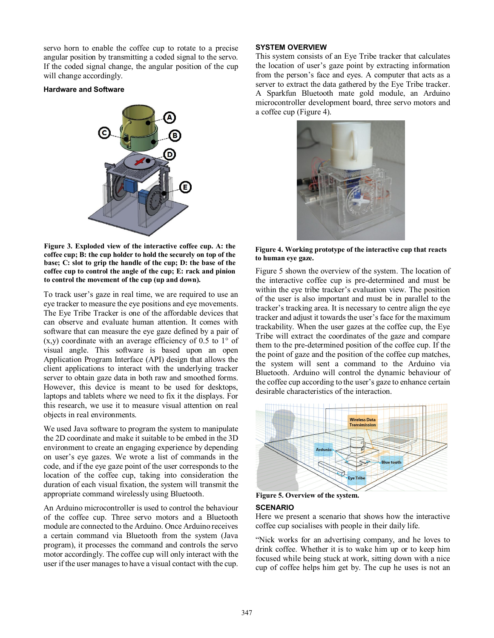servo horn to enable the coffee cup to rotate to a precise angular position by transmitting a coded signal to the servo. If the coded signal change, the angular position of the cup will change accordingly.

#### **Hardware and Software**



**Figure 3. Exploded view of the interactive coffee cup. A: the coffee cup; B: the cup holder to hold the securely on top of the base; C: slot to grip the handle of the cup; D: the base of the coffee cup to control the angle of the cup; E: rack and pinion to control the movement of the cup (up and down).**

To track user's gaze in real time, we are required to use an eye tracker to measure the eye positions and eye movements. The Eye Tribe Tracker is one of the affordable devices that can observe and evaluate human attention. It comes with software that can measure the eye gaze defined by a pair of  $(x,y)$  coordinate with an average efficiency of 0.5 to 1 $\degree$  of visual angle. This software is based upon an open Application Program Interface (API) design that allows the client applications to interact with the underlying tracker server to obtain gaze data in both raw and smoothed forms. However, this device is meant to be used for desktops, laptops and tablets where we need to fix it the displays. For this research, we use it to measure visual attention on real objects in real environments.

We used Java software to program the system to manipulate the 2D coordinate and make it suitable to be embed in the 3D environment to create an engaging experience by depending on user's eye gazes. We wrote a list of commands in the code, and if the eye gaze point of the user corresponds to the location of the coffee cup, taking into consideration the duration of each visual fixation, the system will transmit the appropriate command wirelessly using Bluetooth.

An Arduino microcontroller is used to control the behaviour of the coffee cup. Three servo motors and a Bluetooth module are connected to the Arduino. Once Arduino receives a certain command via Bluetooth from the system (Java program), it processes the command and controls the servo motor accordingly. The coffee cup will only interact with the user if the user manages to have a visual contact with the cup.

## **SYSTEM OVERVIEW**

This system consists of an Eye Tribe tracker that calculates the location of user's gaze point by extracting information from the person's face and eyes. A computer that acts as a server to extract the data gathered by the Eye Tribe tracker. A Sparkfun Bluetooth mate gold module, an Arduino microcontroller development board, three servo motors and a coffee cup (Figure 4).



**Figure 4. Working prototype of the interactive cup that reacts to human eye gaze.**

Figure 5 shown the overview of the system. The location of the interactive coffee cup is pre-determined and must be within the eye tribe tracker's evaluation view. The position of the user is also important and must be in parallel to the tracker's tracking area. It is necessary to centre align the eye tracker and adjust it towards the user's face for the maximum trackability. When the user gazes at the coffee cup, the Eye Tribe will extract the coordinates of the gaze and compare them to the pre-determined position of the coffee cup. If the the point of gaze and the position of the coffee cup matches, the system will sent a command to the Arduino via Bluetooth. Arduino will control the dynamic behaviour of the coffee cup according to the user's gaze to enhance certain desirable characteristics of the interaction.



**Figure 5. Overview of the system.**

## **SCENARIO**

Here we present a scenario that shows how the interactive coffee cup socialises with people in their daily life.

"Nick works for an advertising company, and he loves to drink coffee. Whether it is to wake him up or to keep him focused while being stuck at work, sitting down with a nice cup of coffee helps him get by. The cup he uses is not an